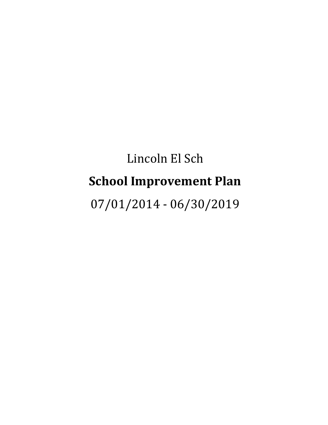# Lincoln El Sch **School Improvement Plan** 07/01/2014 - 06/30/2019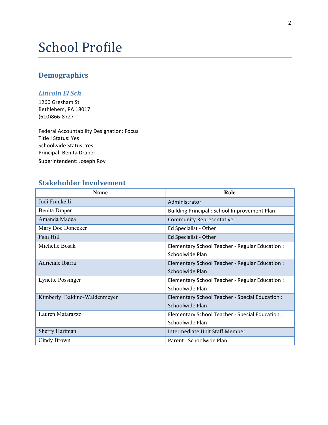## School Profile

### **Demographics**

### *Lincoln El Sch*

1260 Gresham St Bethlehem, PA 18017 (610)866-8727

Federal Accountability Designation: Focus Title I Status: Yes Schoolwide Status: Yes Principal: Benita Draper Superintendent: Joseph Roy

### **Stakeholder Involvement**

| Name                         | Role                                               |
|------------------------------|----------------------------------------------------|
| Jodi Frankelli               | Administrator                                      |
| Benita Draper                | <b>Building Principal: School Improvement Plan</b> |
| Amanda Madea                 | <b>Community Representative</b>                    |
| Mary Doe Donecker            | Ed Specialist - Other                              |
| Pam Hill                     | Ed Specialist - Other                              |
| Michelle Bosak               | Elementary School Teacher - Regular Education :    |
|                              | Schoolwide Plan                                    |
| Adrienne Ibarra              | Elementary School Teacher - Regular Education :    |
|                              | Schoolwide Plan                                    |
| Lynette Possinger            | Elementary School Teacher - Regular Education :    |
|                              | Schoolwide Plan                                    |
| Kimberly Baldino-Waldenmeyer | Elementary School Teacher - Special Education :    |
|                              | Schoolwide Plan                                    |
| Lauren Matarazzo             | Elementary School Teacher - Special Education :    |
|                              | Schoolwide Plan                                    |
| <b>Sherry Hartman</b>        | Intermediate Unit Staff Member                     |
| Cindy Brown                  | Parent: Schoolwide Plan                            |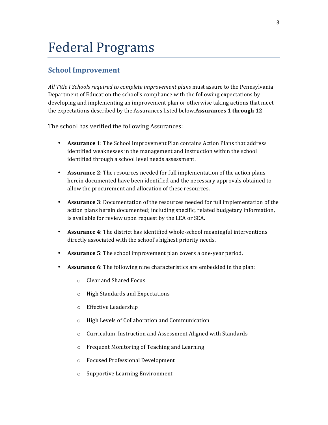## Federal Programs

### **School Improvement**

All Title I Schools required to complete improvement plans must assure to the Pennsylvania Department of Education the school's compliance with the following expectations by developing and implementing an improvement plan or otherwise taking actions that meet the expectations described by the Assurances listed below.**Assurances 1 through 12** 

The school has verified the following Assurances:

- **Assurance 1**: The School Improvement Plan contains Action Plans that address identified weaknesses in the management and instruction within the school identified through a school level needs assessment.
- **Assurance 2**: The resources needed for full implementation of the action plans herein documented have been identified and the necessary approvals obtained to allow the procurement and allocation of these resources.
- **Assurance** 3: Documentation of the resources needed for full implementation of the action plans herein documented; including specific, related budgetary information, is available for review upon request by the LEA or SEA.
- **Assurance 4**: The district has identified whole-school meaningful interventions directly associated with the school's highest priority needs.
- **Assurance 5**: The school improvement plan covers a one-year period.
- Assurance 6: The following nine characteristics are embedded in the plan:
	- $\circ$  Clear and Shared Focus
	- o High Standards and Expectations
	- o Effective Leadership
	- $\circ$  High Levels of Collaboration and Communication
	- o Curriculum, Instruction and Assessment Aligned with Standards
	- $\circ$  Frequent Monitoring of Teaching and Learning
	- o Focused Professional Development
	- $\circ$  Supportive Learning Environment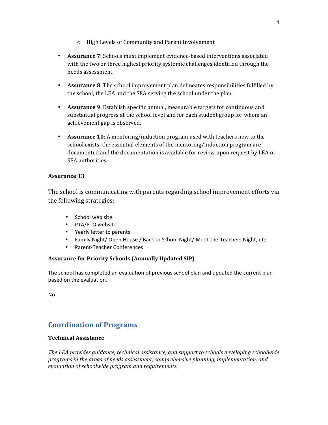- $\circ$  High Levels of Community and Parent Involvement
- Assurance 7: Schools must implement evidence-based interventions associated with the two or three highest priority systemic challenges identified through the needs assessment.
- Assurance 8: The school improvement plan delineates responsibilities fulfilled by the school, the LEA and the SEA serving the school under the plan.
- **Assurance 9**: Establish specific annual, measurable targets for continuous and substantial progress at the school level and for each student group for whom an achievement gap is observed.
- **Assurance 10**: A mentoring/induction program used with teachers new to the school exists; the essential elements of the mentoring/induction program are documented and the documentation is available for review upon request by LEA or SEA authorities.

### **Assurance 13**

The school is communicating with parents regarding school improvement efforts via the following strategies:

- School web site
- PTA/PTO website
- Yearly letter to parents
- Family Night/ Open House / Back to School Night/ Meet-the-Teachers Night, etc.
- Parent-Teacher Conferences

### **Assurance for Priority Schools (Annually Updated SIP)**

The school has completed an evaluation of previous school plan and updated the current plan based on the evaluation.

No

### **Coordination of Programs**

### **Technical Assistance**

The LEA provides quidance, technical assistance, and support to schools developing schoolwide programs in the areas of needs assessment, comprehensive planning, implementation, and *evaluation of schoolwide program and requirements.*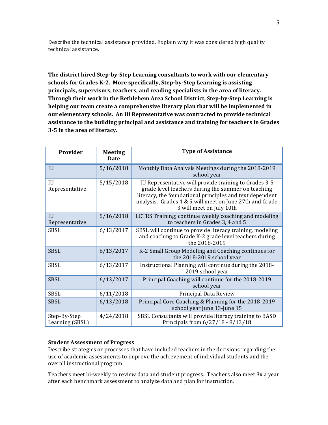Describe the technical assistance provided. Explain why it was considered high quality technical assistance.

**The district hired Step-by-Step Learning consultants to work with our elementary** schools for Grades K-2. More specifically, Step-by-Step Learning is assisting principals, supervisors, teachers, and reading specialists in the area of literacy. **Through their work in the Bethlehem Area School District, Step-by-Step Learning is helping our team create a comprehensive literacy plan that will be implemented in our elementary schools. An IU Representative was contracted to provide technical** assistance to the building principal and assistance and training for teachers in Grades **3-5 in the area of literacy.**

| Provider                         | <b>Meeting</b><br><b>Date</b> | <b>Type of Assistance</b>                                                                                                                                                                                                                                      |
|----------------------------------|-------------------------------|----------------------------------------------------------------------------------------------------------------------------------------------------------------------------------------------------------------------------------------------------------------|
| IU                               | 5/16/2018                     | Monthly Data Analysis Meetings during the 2018-2019<br>school year                                                                                                                                                                                             |
| IU<br>Representative             | 5/15/2018                     | IU Representative will provide training to Grades 3-5<br>grade level teachers during the summer on teaching<br>literacy, the foundational principles and text dependent<br>analysis. Grades 4 & 5 will meet on June 27th and Grade<br>3 will meet on July 10th |
| $\overline{I}$<br>Representative | 5/16/2018                     | LETRS Training; continue weekly coaching and modeling<br>to teachers in Grades 3, 4 and 5                                                                                                                                                                      |
| <b>SBSL</b>                      | 6/13/2017                     | SBSL will continue to provide literacy training, modeling<br>and coaching to Grade K-2 grade level teachers during<br>the 2018-2019                                                                                                                            |
| <b>SBSL</b>                      | 6/13/2017                     | K-2 Small Group Modeling and Coaching continues for<br>the 2018-2019 school year                                                                                                                                                                               |
| <b>SBSL</b>                      | 6/13/2017                     | Instructional Planning will continue during the 2018-<br>2019 school year                                                                                                                                                                                      |
| <b>SBSL</b>                      | 6/13/2017                     | Principal Coaching will continue for the 2018-2019<br>school year                                                                                                                                                                                              |
| <b>SBSL</b>                      | 6/11/2018                     | Principal Data Review                                                                                                                                                                                                                                          |
| <b>SBSL</b>                      | 6/13/2018                     | Principal Core Coaching & Planning for the 2018-2019<br>school year June 13-June 15                                                                                                                                                                            |
| Step-By-Step<br>Learning (SBSL)  | 4/24/2018                     | SBSL Consultants will provide literacy training to BASD<br>Principals from 6/27/18 - 8/13/18                                                                                                                                                                   |

#### **Student Assessment of Progress**

Describe strategies or processes that have included teachers in the decisions regarding the use of academic assessments to improve the achievement of individual students and the overall instructional program.

Teachers meet bi-weekly to review data and student progress. Teachers also meet 3x a year after each benchmark assessment to analyze data and plan for instruction.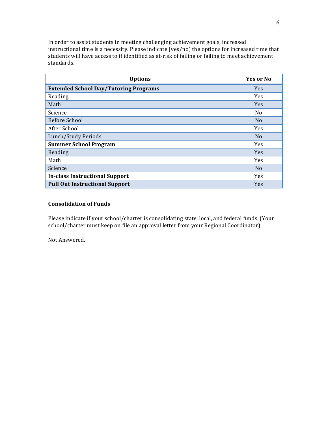In order to assist students in meeting challenging achievement goals, increased instructional time is a necessity. Please indicate (yes/no) the options for increased time that students will have access to if identified as at-risk of failing or failing to meet achievement standards.

| <b>Options</b>                               | Yes or No      |
|----------------------------------------------|----------------|
| <b>Extended School Day/Tutoring Programs</b> | <b>Yes</b>     |
| Reading                                      | Yes            |
| Math                                         | <b>Yes</b>     |
| Science                                      | N <sub>0</sub> |
| <b>Before School</b>                         | N <sub>o</sub> |
| After School                                 | Yes            |
| Lunch/Study Periods                          | N <sub>0</sub> |
| <b>Summer School Program</b>                 | <b>Yes</b>     |
| Reading                                      | <b>Yes</b>     |
| Math                                         | Yes            |
| Science                                      | N <sub>o</sub> |
| <b>In-class Instructional Support</b>        | <b>Yes</b>     |
| <b>Pull Out Instructional Support</b>        | <b>Yes</b>     |

### **Consolidation of Funds**

Please indicate if your school/charter is consolidating state, local, and federal funds. (Your school/charter must keep on file an approval letter from your Regional Coordinator).

Not Answered.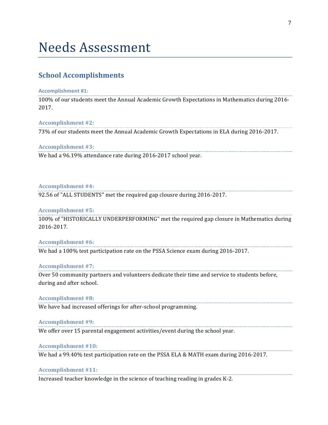## Needs Assessment

### **School Accomplishments**

#### **Accomplishment #1:**

100% of our students meet the Annual Academic Growth Expectations in Mathematics during 2016-2017.

#### **Accomplishment #2:**

73% of our students meet the Annual Academic Growth Expectations in ELA during 2016-2017.

### Accomplishment #3:

We had a 96.19% attendance rate during 2016-2017 school year.

### Accomplishment #4:

92.56 of "ALL STUDENTS" met the required gap clousre during 2016-2017.

### **Accomplishment #5:**

100% of "HISTORICALLY UNDERPERFORMING" met the required gap closure in Mathematics during 2016-2017.

#### Accomplishment #6:

We had a 100% test participation rate on the PSSA Science exam during 2016-2017.

#### **Accomplishment #7:**

Over 50 community partners and volunteers dedicate their time and service to students before, during and after school.

**Accomplishment #8:**

We have had increased offerings for after-school programming.

#### Accomplishment #9:

We offer over 15 parental engagement activities/event during the school year.

#### Accomplishment #10:

We had a 99.40% test participation rate on the PSSA ELA & MATH exam during 2016-2017.

#### **Accomplishment #11:**

Increased teacher knowledge in the science of teaching reading in grades K-2.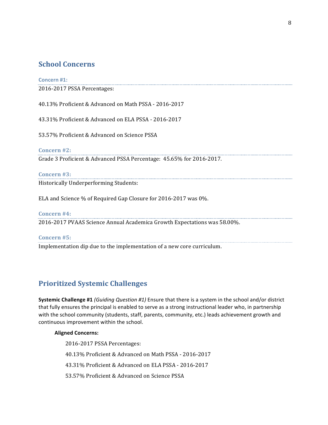### **School Concerns**

### **Concern #1:**

2016-2017 PSSA Percentages:

40.13% Proficient & Advanced on Math PSSA - 2016-2017

43.31% Proficient & Advanced on ELA PSSA - 2016-2017

53.57% Proficient & Advanced on Science PSSA

**Concern #2:**

Grade 3 Proficient & Advanced PSSA Percentage: 45.65% for 2016-2017.

### **Concern #3:**

Historically Underperforming Students:

ELA and Science % of Required Gap Closure for 2016-2017 was 0%.

**Concern #4:** 2016-2017 PVAAS Science Annual Academica Growth Expectations was 58.00%.

**Concern #5:**

Implementation dip due to the implementation of a new core curriculum.

### **Prioritized Systemic Challenges**

**Systemic Challenge #1** *(Guiding Question #1)* Ensure that there is a system in the school and/or district that fully ensures the principal is enabled to serve as a strong instructional leader who, in partnership with the school community (students, staff, parents, community, etc.) leads achievement growth and continuous improvement within the school.

### **Aligned Concerns:**

2016-2017 PSSA Percentages: 40.13% Proficient & Advanced on Math PSSA - 2016-2017 43.31% Proficient & Advanced on ELA PSSA - 2016-2017 53.57% Proficient & Advanced on Science PSSA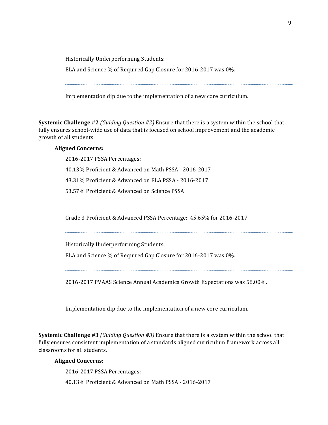Historically Underperforming Students:

ELA and Science % of Required Gap Closure for 2016-2017 was 0%.

Implementation dip due to the implementation of a new core curriculum.

**Systemic Challenge** #2 *(Guiding Question #2)* Ensure that there is a system within the school that fully ensures school-wide use of data that is focused on school improvement and the academic growth of all students

### **Aligned Concerns:**

2016-2017 PSSA Percentages: 40.13% Proficient & Advanced on Math PSSA - 2016-2017 43.31% Proficient & Advanced on ELA PSSA - 2016-2017 53.57% Proficient & Advanced on Science PSSA

Grade 3 Proficient & Advanced PSSA Percentage: 45.65% for 2016-2017.

Historically Underperforming Students:

ELA and Science % of Required Gap Closure for 2016-2017 was 0%.

2016-2017 PVAAS Science Annual Academica Growth Expectations was 58.00%.

Implementation dip due to the implementation of a new core curriculum.

**Systemic Challenge #3** *(Guiding Question #3)* Ensure that there is a system within the school that fully ensures consistent implementation of a standards aligned curriculum framework across all classrooms for all students.

### **Aligned Concerns:**

2016-2017 PSSA Percentages:

40.13% Proficient & Advanced on Math PSSA - 2016-2017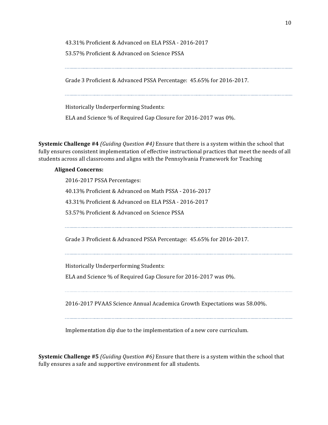43.31% Proficient & Advanced on ELA PSSA - 2016-2017 53.57% Proficient & Advanced on Science PSSA

Grade 3 Proficient & Advanced PSSA Percentage: 45.65% for 2016-2017.

Historically Underperforming Students:

ELA and Science % of Required Gap Closure for 2016-2017 was 0%.

**Systemic Challenge** #4 *(Guiding Question #4)* Ensure that there is a system within the school that fully ensures consistent implementation of effective instructional practices that meet the needs of all students across all classrooms and aligns with the Pennsylvania Framework for Teaching

### **Aligned Concerns:**

2016-2017 PSSA Percentages: 40.13% Proficient & Advanced on Math PSSA - 2016-2017 43.31% Proficient & Advanced on ELA PSSA - 2016-2017 53.57% Proficient & Advanced on Science PSSA

Grade 3 Proficient & Advanced PSSA Percentage: 45.65% for 2016-2017.

Historically Underperforming Students:

ELA and Science % of Required Gap Closure for 2016-2017 was 0%.

2016-2017 PVAAS Science Annual Academica Growth Expectations was 58.00%.

Implementation dip due to the implementation of a new core curriculum.

**Systemic Challenge #5** *(Guiding Question #6)* Ensure that there is a system within the school that fully ensures a safe and supportive environment for all students.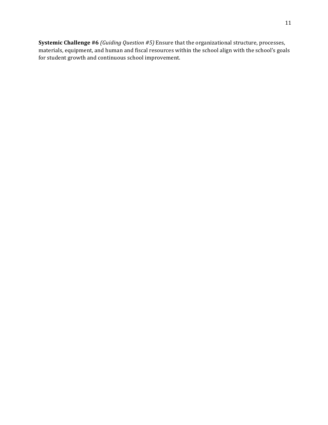**Systemic Challenge** #6 *(Guiding Question #5)* Ensure that the organizational structure, processes, materials, equipment, and human and fiscal resources within the school align with the school's goals for student growth and continuous school improvement.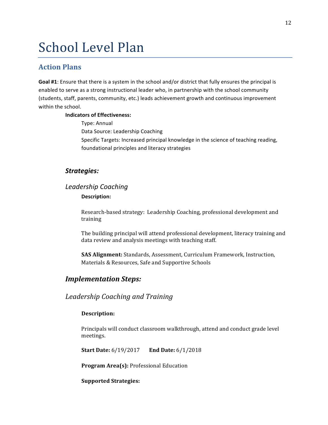## School Level Plan

### **Action Plans**

Goal #1: Ensure that there is a system in the school and/or district that fully ensures the principal is enabled to serve as a strong instructional leader who, in partnership with the school community (students, staff, parents, community, etc.) leads achievement growth and continuous improvement within the school.

### **Indicators of Effectiveness:**

Type: Annual Data Source: Leadership Coaching Specific Targets: Increased principal knowledge in the science of teaching reading, foundational principles and literacy strategies

### *Strategies:*

### *Leadership Coaching*

### Description:

Research-based strategy: Leadership Coaching, professional development and training

The building principal will attend professional development, literacy training and data review and analysis meetings with teaching staff.

**SAS Alignment:** Standards, Assessment, Curriculum Framework, Instruction, Materials & Resources, Safe and Supportive Schools

### *Implementation Steps:*

### *Leadership Coaching and Training*

### **Description:**

Principals will conduct classroom walkthrough, attend and conduct grade level meetings.

**Start Date:** 6/19/2017 **End Date:** 6/1/2018

**Program Area(s):** Professional Education

**Supported Strategies:**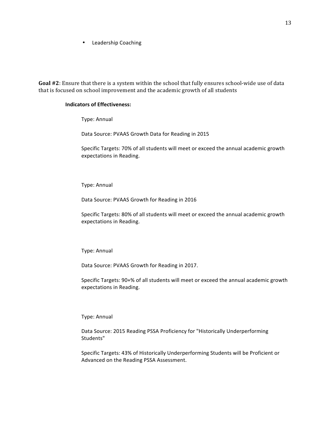• Leadership Coaching

Goal #2: Ensure that there is a system within the school that fully ensures school-wide use of data that is focused on school improvement and the academic growth of all students

#### **Indicators of Effectiveness:**

Type: Annual

Data Source: PVAAS Growth Data for Reading in 2015

Specific Targets: 70% of all students will meet or exceed the annual academic growth expectations in Reading.

Type: Annual

Data Source: PVAAS Growth for Reading in 2016

Specific Targets: 80% of all students will meet or exceed the annual academic growth expectations in Reading.

Type: Annual

Data Source: PVAAS Growth for Reading in 2017.

Specific Targets: 90+% of all students will meet or exceed the annual academic growth expectations in Reading.

Type: Annual

Data Source: 2015 Reading PSSA Proficiency for "Historically Underperforming Students"

Specific Targets: 43% of Historically Underperforming Students will be Proficient or Advanced on the Reading PSSA Assessment.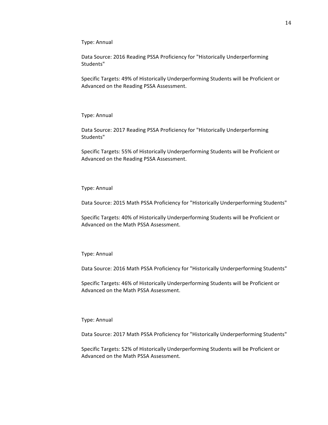Type: Annual

Data Source: 2016 Reading PSSA Proficiency for "Historically Underperforming Students"

Specific Targets: 49% of Historically Underperforming Students will be Proficient or Advanced on the Reading PSSA Assessment.

Type: Annual

Data Source: 2017 Reading PSSA Proficiency for "Historically Underperforming Students"

Specific Targets: 55% of Historically Underperforming Students will be Proficient or Advanced on the Reading PSSA Assessment.

Type: Annual

Data Source: 2015 Math PSSA Proficiency for "Historically Underperforming Students"

Specific Targets: 40% of Historically Underperforming Students will be Proficient or Advanced on the Math PSSA Assessment.

Type: Annual

Data Source: 2016 Math PSSA Proficiency for "Historically Underperforming Students"

Specific Targets: 46% of Historically Underperforming Students will be Proficient or Advanced on the Math PSSA Assessment.

Type: Annual

Data Source: 2017 Math PSSA Proficiency for "Historically Underperforming Students"

Specific Targets: 52% of Historically Underperforming Students will be Proficient or Advanced on the Math PSSA Assessment.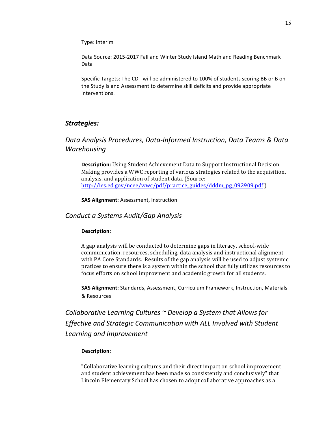Type: Interim

Data Source: 2015-2017 Fall and Winter Study Island Math and Reading Benchmark Data

Specific Targets: The CDT will be administered to 100% of students scoring BB or B on the Study Island Assessment to determine skill deficits and provide appropriate interventions.

### *Strategies:*

### *Data Analysis Procedures, Data-Informed Instruction, Data Teams & Data Warehousing*

**Description:** Using Student Achievement Data to Support Instructional Decision Making provides a WWC reporting of various strategies related to the acquisition, analysis, and application of student data. (Source: http://ies.ed.gov/ncee/wwc/pdf/practice\_guides/dddm\_pg\_092909.pdf )

**SAS Alignment:** Assessment, Instruction

### *Conduct a Systems Audit/Gap Analysis*

#### Description:

A gap analysis will be conducted to determine gaps in literacy, school-wide communication, resources, scheduling, data analysis and instructional alignment with PA Core Standards. Results of the gap analysis will be used to adjust systemic pratices to ensure there is a system within the school that fully utilizes resources to focus efforts on school improvment and academic growth for all students.

**SAS Alignment:** Standards, Assessment, Curriculum Framework, Instruction, Materials & Resources

*Collaborative Learning Cultures*  $\sim$  Develop a System that Allows for *Effective and Strategic Communication with ALL Involved with Student Learning and Improvement*

#### **Description:**

"Collaborative learning cultures and their direct impact on school improvement and student achievement has been made so consistently and conclusively" that Lincoln Elementary School has chosen to adopt collaborative approaches as a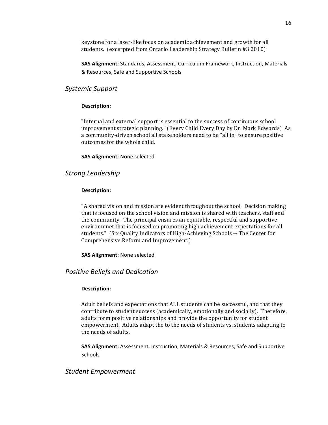keystone for a laser-like focus on academic achievement and growth for all students. (excerpted from Ontario Leadership Strategy Bulletin #3 2010)

**SAS Alignment:** Standards, Assessment, Curriculum Framework, Instruction, Materials & Resources, Safe and Supportive Schools

### *Systemic Support*

### **Description:**

"Internal and external support is essential to the success of continuous school improvement strategic planning." (Every Child Every Day by Dr. Mark Edwards) As a community-driven school all stakeholders need to be "all in" to ensure positive outcomes for the whole child.

**SAS Alignment: None selected** 

### *Strong Leadership*

### Description:

"A shared vision and mission are evident throughout the school. Decision making that is focused on the school vision and mission is shared with teachers, staff and the community. The principal ensures an equitable, respectful and supportive environmnet that is focused on promoting high achievement expectations for all students." (Six Quality Indicators of High-Achieving Schools  $\sim$  The Center for Comprehensive Reform and Improvement.)

**SAS Alignment:** None selected

### *Positive Beliefs and Dedication*

#### Description:

Adult beliefs and expectations that ALL students can be successful, and that they contribute to student success (academically, emotionally and socially). Therefore, adults form positive relationships and provide the opportunity for student empowerment. Adults adapt the to the needs of students vs. students adapting to the needs of adults.

**SAS Alignment:** Assessment, Instruction, Materials & Resources, Safe and Supportive **Schools** 

### *Student Empowerment*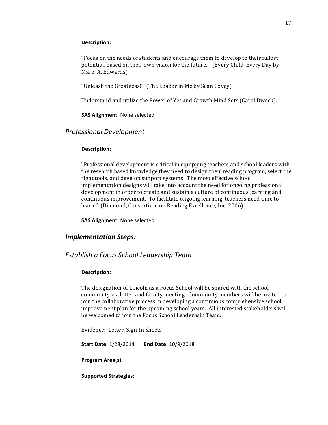#### Description:

"Focus on the needs of students and encourage them to develop to their fullest potential, based on their own vision for the future." (Every Child, Every Day by Mark. A. Edwards)

"Unleash the Greatness!" (The Leader In Me by Sean Covey)

Understand and utilize the Power of Yet and Growth Mind Sets (Carol Dweck).

**SAS Alignment:** None selected

### *Professional Development*

#### Description:

"Professional development is critical in equipping teachers and school leaders with the research based knowledge they need to design their reading program, select the right tools, and develop support systems. The most effective school implementation designs will take into account the need for ongoing professional development in order to create and sustain a culture of continuous learning and continuous improvement. To facilitate ongoing learning, teachers need time to learn." (Diamond, Consortium on Reading Excellence, Inc. 2006)

**SAS Alignment:** None selected

### *Implementation Steps:*

### *Establish a Focus School Leadership Team*

### Description:

The designation of Lincoln as a Focus School will be shared with the school community via letter and faculty meeting. Community members will be invited to join the collaborative process in developing a continuous comprehensive school improvement plan for the upcoming school years. All interested stakeholders will be welcomed to join the Focus School Leaderhsip Team.

Evidence: Letter, Sign-In Sheets

**Start Date: 1/28/2014 End Date: 10/9/2018** 

Program Area(s):

**Supported Strategies:**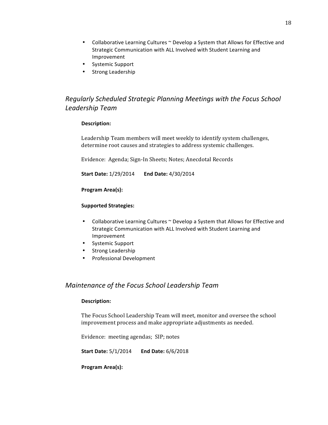- Collaborative Learning Cultures ~ Develop a System that Allows for Effective and Strategic Communication with ALL Involved with Student Learning and Improvement
- Systemic Support
- Strong Leadership

### **Regularly Scheduled Strategic Planning Meetings with the Focus School** *Leadership Team*

### **Description:**

Leadership Team members will meet weekly to identify system challenges, determine root causes and strategies to address systemic challenges.

Evidence: Agenda; Sign-In Sheets; Notes; Anecdotal Records

**Start Date:** 1/29/2014 **End Date:** 4/30/2014

### **Program Area(s):**

### **Supported Strategies:**

- Collaborative Learning Cultures ~ Develop a System that Allows for Effective and Strategic Communication with ALL Involved with Student Learning and Improvement
- Systemic Support
- Strong Leadership
- Professional Development

### *Maintenance of the Focus School Leadership Team*

#### **Description:**

The Focus School Leadership Team will meet, monitor and oversee the school improvement process and make appropriate adjustments as needed.

Evidence: meeting agendas; SIP; notes

**Start Date:**  $5/1/2014$  **End Date:**  $6/6/2018$ 

Program Area(s):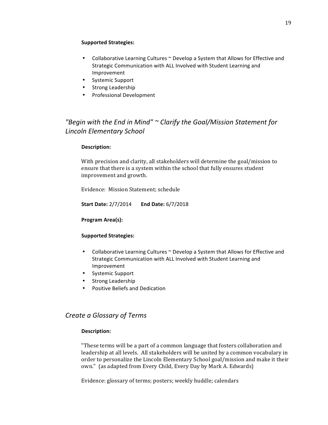### **Supported Strategies:**

- Collaborative Learning Cultures ~ Develop a System that Allows for Effective and Strategic Communication with ALL Involved with Student Learning and Improvement
- Systemic Support
- Strong Leadership
- Professional Development

### "Begin with the End in Mind" ~ Clarify the Goal/Mission Statement for *Lincoln Elementary School*

### **Description:**

With precision and clarity, all stakeholders will determine the goal/mission to ensure that there is a system within the school that fully ensures student improvement and growth.

Evidence: Mission Statement: schedule

**Start Date: 2/7/2014 End Date: 6/7/2018** 

#### Program Area(s):

#### **Supported Strategies:**

- Collaborative Learning Cultures  $\sim$  Develop a System that Allows for Effective and Strategic Communication with ALL Involved with Student Learning and Improvement
- Systemic Support
- Strong Leadership
- Positive Beliefs and Dedication

### *Create a Glossary of Terms*

#### Description:

"These terms will be a part of a common language that fosters collaboration and leadership at all levels. All stakeholders will be united by a common vocabulary in order to personalize the Lincoln Elementary School goal/mission and make it their own." (as adapted from Every Child, Every Day by Mark A. Edwards)

Evidence: glossary of terms; posters; weekly huddle; calendars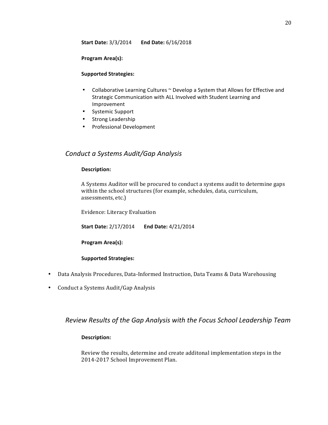**Start Date:** 3/3/2014 **End Date:** 6/16/2018

### Program Area(s):

### **Supported Strategies:**

- Collaborative Learning Cultures ~ Develop a System that Allows for Effective and Strategic Communication with ALL Involved with Student Learning and Improvement
- Systemic Support
- Strong Leadership
- Professional Development

### *Conduct a Systems Audit/Gap Analysis*

### **Description:**

A Systems Auditor will be procured to conduct a systems audit to determine gaps within the school structures (for example, schedules, data, curriculum, assessments, etc.)

Evidence: Literacy Evaluation

| <b>Start Date: 2/17/2014</b> | End Date: 4/21/2014 |
|------------------------------|---------------------|
|------------------------------|---------------------|

Program Area(s):

### **Supported Strategies:**

- Data Analysis Procedures, Data-Informed Instruction, Data Teams & Data Warehousing
- Conduct a Systems Audit/Gap Analysis

### *Review Results of the Gap Analysis with the Focus School Leadership Team*

### Description:

Review the results, determine and create additonal implementation steps in the 2014-2017 School Improvement Plan.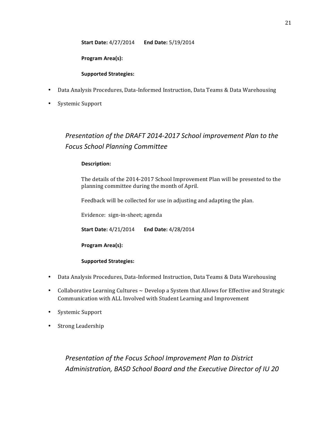**Start Date:** 4/27/2014 End Date: 5/19/2014

Program Area(s):

### **Supported Strategies:**

- Data Analysis Procedures, Data-Informed Instruction, Data Teams & Data Warehousing
- Systemic Support

### *Presentation of the DRAFT 2014-2017 School improvement Plan to the Focus School Planning Committee*

### **Description:**

The details of the 2014-2017 School Improvement Plan will be presented to the planning committee during the month of April.

Feedback will be collected for use in adjusting and adapting the plan.

Evidence: sign-in-sheet; agenda

**Start Date:** 4/21/2014 **End Date:** 4/28/2014

Program Area(s):

### **Supported Strategies:**

- Data Analysis Procedures, Data-Informed Instruction, Data Teams & Data Warehousing
- Collaborative Learning Cultures  $\sim$  Develop a System that Allows for Effective and Strategic Communication with ALL Involved with Student Learning and Improvement
- Systemic Support
- Strong Leadership

**Presentation of the Focus School Improvement Plan to District** Administration, BASD School Board and the Executive Director of IU 20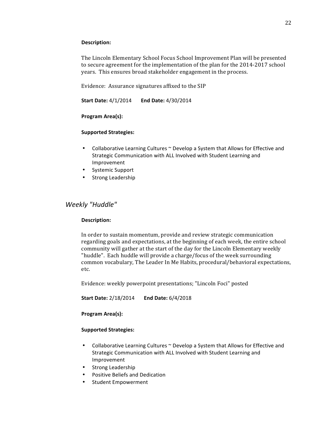### Description:

The Lincoln Elementary School Focus School Improvement Plan will be presented to secure agreement for the implementation of the plan for the 2014-2017 school years. This ensures broad stakeholder engagement in the process.

Evidence: Assurance signatures affixed to the SIP

**Start Date: 4/1/2014 End Date: 4/30/2014** 

**Program Area(s):** 

### **Supported Strategies:**

- Collaborative Learning Cultures  $\sim$  Develop a System that Allows for Effective and Strategic Communication with ALL Involved with Student Learning and Improvement
- Systemic Support
- Strong Leadership

### *Weekly "Huddle"*

### **Description:**

In order to sustain momentum, provide and review strategic communication regarding goals and expectations, at the beginning of each week, the entire school community will gather at the start of the day for the Lincoln Elementary weekly "huddle". Each huddle will provide a charge/focus of the week surrounding common vocabulary, The Leader In Me Habits, procedural/behavioral expectations, etc.

Evidence: weekly powerpoint presentations; "Lincoln Foci" posted

**Start Date:** 2/18/2014 **End Date:** 6/4/2018

### **Program Area(s):**

### **Supported Strategies:**

- Collaborative Learning Cultures  $\sim$  Develop a System that Allows for Effective and Strategic Communication with ALL Involved with Student Learning and Improvement
- Strong Leadership
- Positive Beliefs and Dedication
- Student Empowerment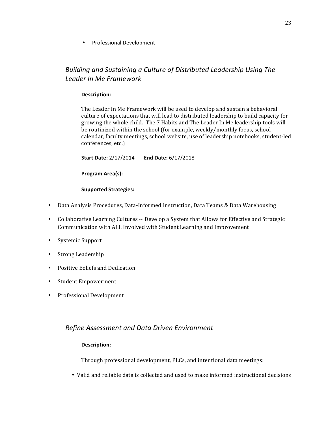• Professional Development

### **Building and Sustaining a Culture of Distributed Leadership Using The** *Leader In Me Framework*

### Description:

The Leader In Me Framework will be used to develop and sustain a behavioral culture of expectations that will lead to distributed leadership to build capacity for growing the whole child. The 7 Habits and The Leader In Me leadership tools will be routinized within the school (for example, weekly/monthly focus, school calendar, faculty meetings, school website, use of leadership notebooks, student-led conferences, etc.)

**Start Date:** 2/17/2014 End Date: 6/17/2018

**Program Area(s):** 

### **Supported Strategies:**

- Data Analysis Procedures, Data-Informed Instruction, Data Teams & Data Warehousing
- Collaborative Learning Cultures  $\sim$  Develop a System that Allows for Effective and Strategic Communication with ALL Involved with Student Learning and Improvement
- Systemic Support
- Strong Leadership
- Positive Beliefs and Dedication
- Student Empowerment
- Professional Development

### *Refine Assessment and Data Driven Environment*

### Description:

Through professional development, PLCs, and intentional data meetings:

• Valid and reliable data is collected and used to make informed instructional decisions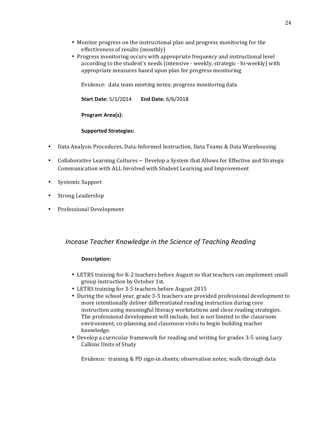- Monitor progress on the instructional plan and progress monitoring for the effectiveness of results (monthly)
- Progress monitoring occurs with appropriate frequency and instructional level according to the student's needs (intensive - weekly, strategic - bi-weekly) with appropriate measures based upon plan for progress monitoring

Evidence: data team meeting notes; progress monitoring data

**Start Date:**  $5/1/2014$  **End Date:**  $6/6/2018$ 

**Program Area(s):** 

### **Supported Strategies:**

- Data Analysis Procedures, Data-Informed Instruction, Data Teams & Data Warehousing
- Collaborative Learning Cultures  $\sim$  Develop a System that Allows for Effective and Strategic Communication with ALL Involved with Student Learning and Improvement
- Systemic Support
- Strong Leadership
- Professional Development

### *Incease Teacher Knowledge in the Science of Teaching Reading*

#### **Description:**

- LETRS training for K-2 teachers before August so that teachers can implement small group instruction by October 1st.
- LETRS training for 3-5 teachers before August 2015
- During the school year, grade 3-5 teachers are provided professional development to more intentionally deliver differentiated reading instruction during core instruction using meaningful literacy workstations and close reading strategies. The professional development will include, but is not limited to the classroom environment, co-planning and classroom visits to begin building teacher knowledge.
- Develop a curricular framework for reading and writing for grades 3-5 using Lucy Calkins Units of Study

Evidence: training & PD sign-in sheets; observation notes; walk-through data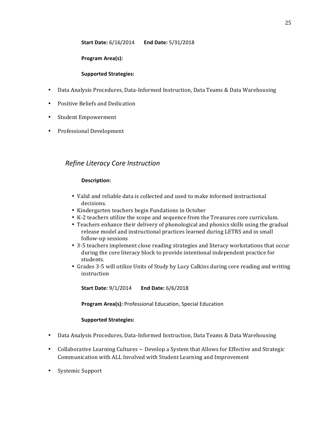### **Start Date:**  $6/16/2014$  **End Date:**  $5/31/2018$

### Program Area(s):

### **Supported Strategies:**

- Data Analysis Procedures, Data-Informed Instruction, Data Teams & Data Warehousing
- Positive Beliefs and Dedication
- Student Empowerment
- Professional Development

### *Refine Literacy Core Instruction*

### Description:

- Valid and reliable data is collected and used to make informed instructional decisions.
- Kindergarten teachers begin Fundations in October
- K-2 teachers utilize the scope and sequence from the Treasures core curriculum.
- Teachers enhance their delivery of phonological and phonics skills using the gradual release model and instructional practices learned during LETRS and in small follow-up sessions
- 3-5 teachers implement close reading strategies and literacy workstations that occur during the core literacy block to provide intentional independent practice for students.
- Grades 3-5 will utilize Units of Study by Lucy Calkins during core reading and writing instruction

**Start Date:** 9/1/2014 **End Date:** 6/6/2018

**Program Area(s): Professional Education, Special Education** 

### **Supported Strategies:**

- Data Analysis Procedures, Data-Informed Instruction, Data Teams & Data Warehousing
- Collaborative Learning Cultures  $\sim$  Develop a System that Allows for Effective and Strategic Communication with ALL Involved with Student Learning and Improvement
- Systemic Support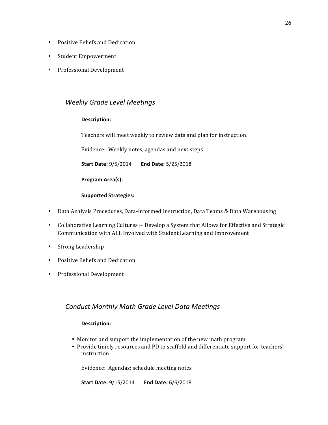- Positive Beliefs and Dedication
- Student Empowerment
- Professional Development

### *Weekly Grade Level Meetings*

### **Description:**

Teachers will meet weekly to review data and plan for instruction.

Evidence: Weekly notes, agendas and next steps

**Start Date:** 9/5/2014 End Date: 5/25/2018

**Program Area(s):** 

### **Supported Strategies:**

- Data Analysis Procedures, Data-Informed Instruction, Data Teams & Data Warehousing
- Collaborative Learning Cultures  $\sim$  Develop a System that Allows for Effective and Strategic Communication with ALL Involved with Student Learning and Improvement
- Strong Leadership
- Positive Beliefs and Dedication
- Professional Development

### *Conduct Monthly Math Grade Level Data Meetings*

### **Description:**

- Monitor and support the implementation of the new math program
- Provide timely resources and PD to scaffold and differentiate support for teachers' instruction

Evidence: Agendas; schedule meeting notes

**Start Date:** 9/15/2014 End Date: 6/6/2018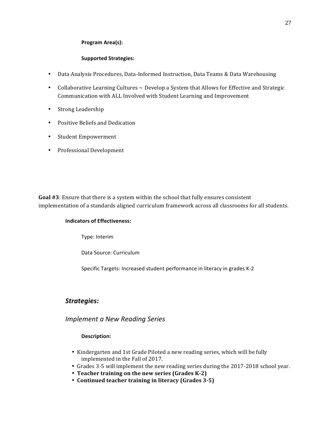### Program Area(s):

### **Supported Strategies:**

- Data Analysis Procedures, Data-Informed Instruction, Data Teams & Data Warehousing
- Collaborative Learning Cultures  $\sim$  Develop a System that Allows for Effective and Strategic Communication with ALL Involved with Student Learning and Improvement
- Strong Leadership
- Positive Beliefs and Dedication
- Student Empowerment
- Professional Development

**Goal #3**: Ensure that there is a system within the school that fully ensures consistent implementation of a standards aligned curriculum framework across all classrooms for all students.

### **Indicators of Effectiveness:**

Type: Interim

Data Source: Curriculum

Specific Targets: Increased student performance in literacy in grades K-2

### *Strategies:*

*Implement a New Reading Series*

### **Description:**

- Kindergarten and 1st Grade Piloted a new reading series, which will be fully implemented in the Fall of 2017.
- Grades 3-5 will implement the new reading series during the 2017-2018 school year.
- Teacher training on the new series (Grades K-2)
- **Continued teacher training in literacy (Grades 3-5)**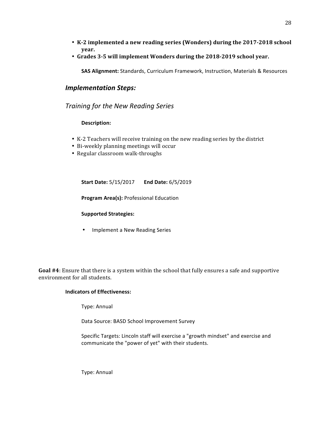- K-2 implemented a new reading series (Wonders) during the 2017-2018 school **year.**
- Grades 3-5 will implement Wonders during the 2018-2019 school year.

**SAS Alignment:** Standards, Curriculum Framework, Instruction, Materials & Resources

### *Implementation Steps:*

*Training for the New Reading Series*

### **Description:**

- K-2 Teachers will receive training on the new reading series by the district
- Bi-weekly planning meetings will occur
- Regular classroom walk-throughs

**Start Date:**  $5/15/2017$  **End Date:**  $6/5/2019$ 

**Program Area(s): Professional Education** 

### **Supported Strategies:**

• Implement a New Reading Series

**Goal #4**: Ensure that there is a system within the school that fully ensures a safe and supportive environment for all students.

### **Indicators of Effectiveness:**

Type: Annual

Data Source: BASD School Improvement Survey

Specific Targets: Lincoln staff will exercise a "growth mindset" and exercise and communicate the "power of yet" with their students.

Type: Annual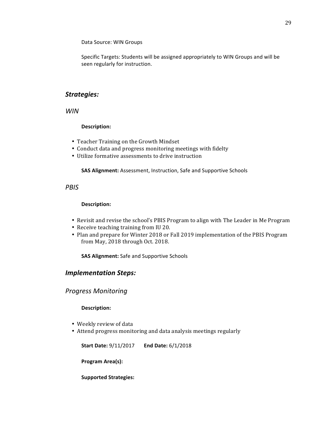Data Source: WIN Groups

Specific Targets: Students will be assigned appropriately to WIN Groups and will be seen regularly for instruction.

### *Strategies:*

*WIN*

### Description:

- Teacher Training on the Growth Mindset
- Conduct data and progress monitoring meetings with fidelty
- Utilize formative assessments to drive instruction

**SAS Alignment:** Assessment, Instruction, Safe and Supportive Schools

### *PBIS*

### Description:

- Revisit and revise the school's PBIS Program to align with The Leader in Me Program
- Receive teaching training from IU 20.
- Plan and prepare for Winter 2018 or Fall 2019 implementation of the PBIS Program from May, 2018 through Oct. 2018.

**SAS Alignment:** Safe and Supportive Schools

### *Implementation Steps:*

*Progress Monitoring* 

### **Description:**

- Weekly review of data
- Attend progress monitoring and data analysis meetings regularly

**Start Date:** 9/11/2017 End Date: 6/1/2018

**Program Area(s):** 

**Supported Strategies:**